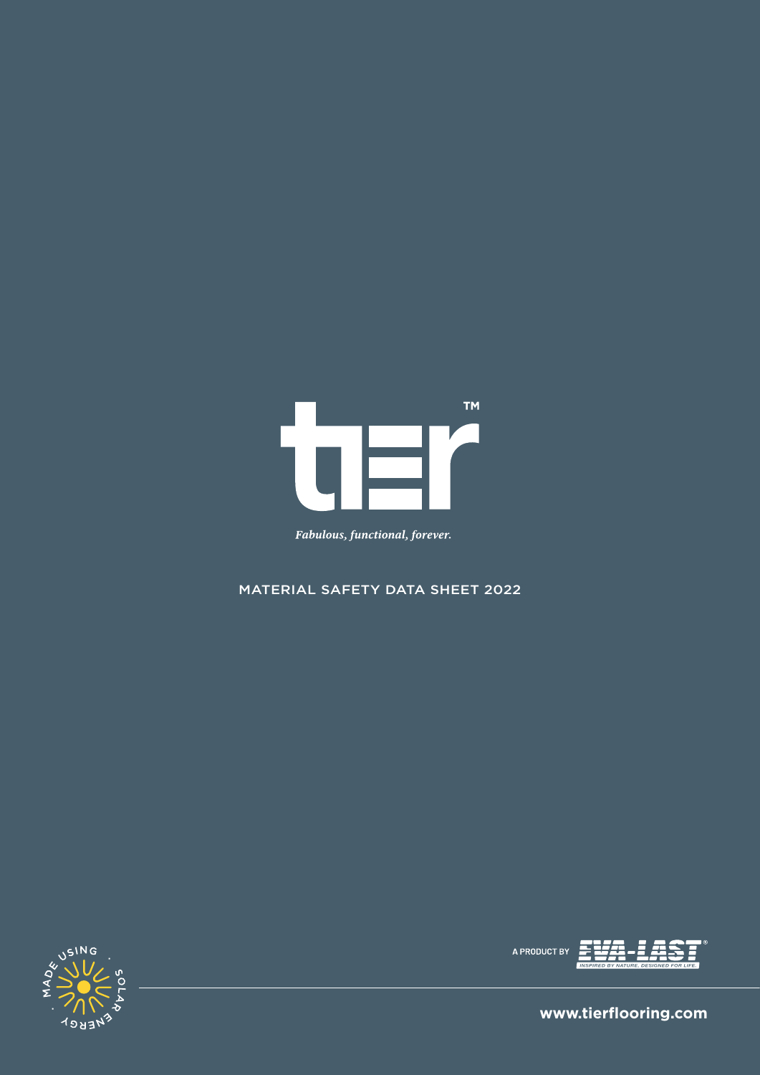

# Fabulous, functional, forever.

# MATERIAL SAFETY DATA SHEET 2022





 **www.tierflooring.com**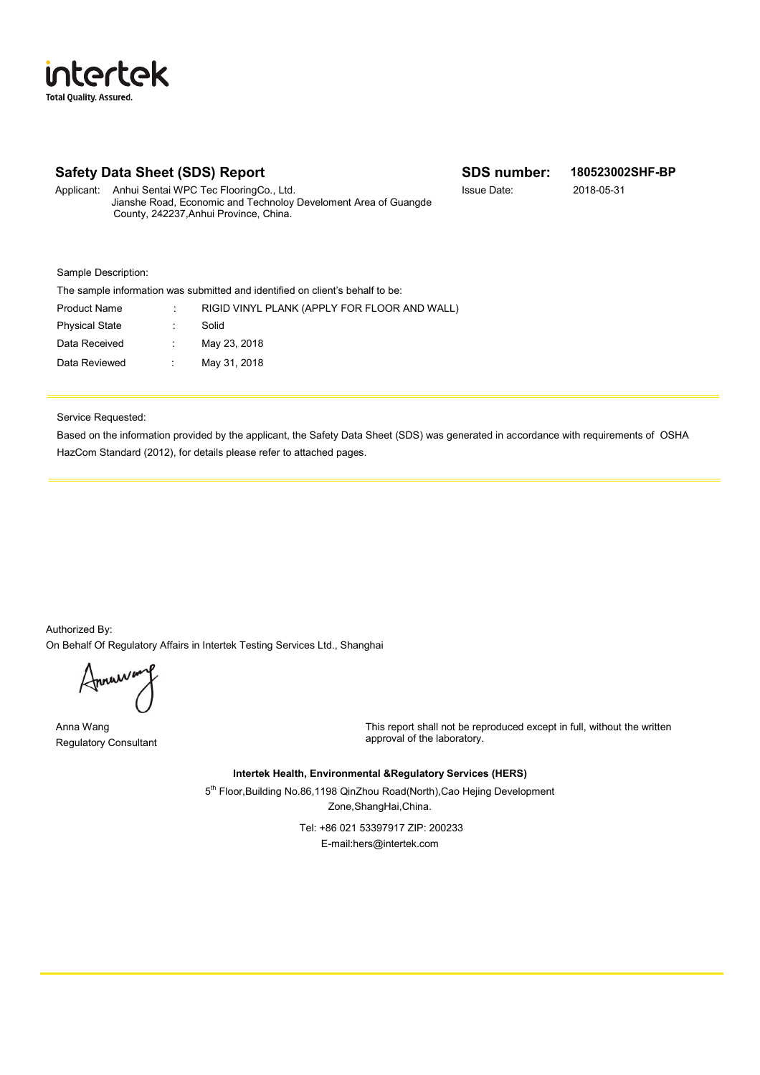# **Safety Data Sheet (SDS) Report SDS number: 180523002SHF-BP**

Applicant: Anhui Sentai WPC Tec FlooringCo., Ltd. Issue Date: 2018-05-31 Jianshe Road, Economic and Technoloy Develoment Area of Guangde County, 242237,Anhui Province, China.

Sample Description:

tertek

**Total Quality, Assured** 

İſ

| The sample information was submitted and identified on client's behalf to be: |                                              |  |
|-------------------------------------------------------------------------------|----------------------------------------------|--|
|                                                                               | RIGID VINYL PLANK (APPLY FOR FLOOR AND WALL) |  |
|                                                                               | Solid                                        |  |
|                                                                               | May 23, 2018                                 |  |
| ÷.                                                                            | May 31, 2018                                 |  |
|                                                                               |                                              |  |

Service Requested:

Based on the information provided by the applicant, the Safety Data Sheet (SDS) was generated in accordance with requirements of OSHA HazCom Standard (2012), for details please refer to attached pages.

Authorized By: On Behalf Of Regulatory Affairs in Intertek Testing Services Ltd., Shanghai

Annawan

Anna Wang Regulatory Consultant

This report shall not be reproduced except in full, without the written approval of the laboratory.

**Intertek Health, Environmental &Regulatory Services (HERS)**

5<sup>th</sup> Floor, Building No.86,1198 QinZhou Road(North), Cao Hejing Development Zone,ShangHai,China.

> Tel: +86 021 53397917 ZIP: 200233 E-mail:hers@intertek.com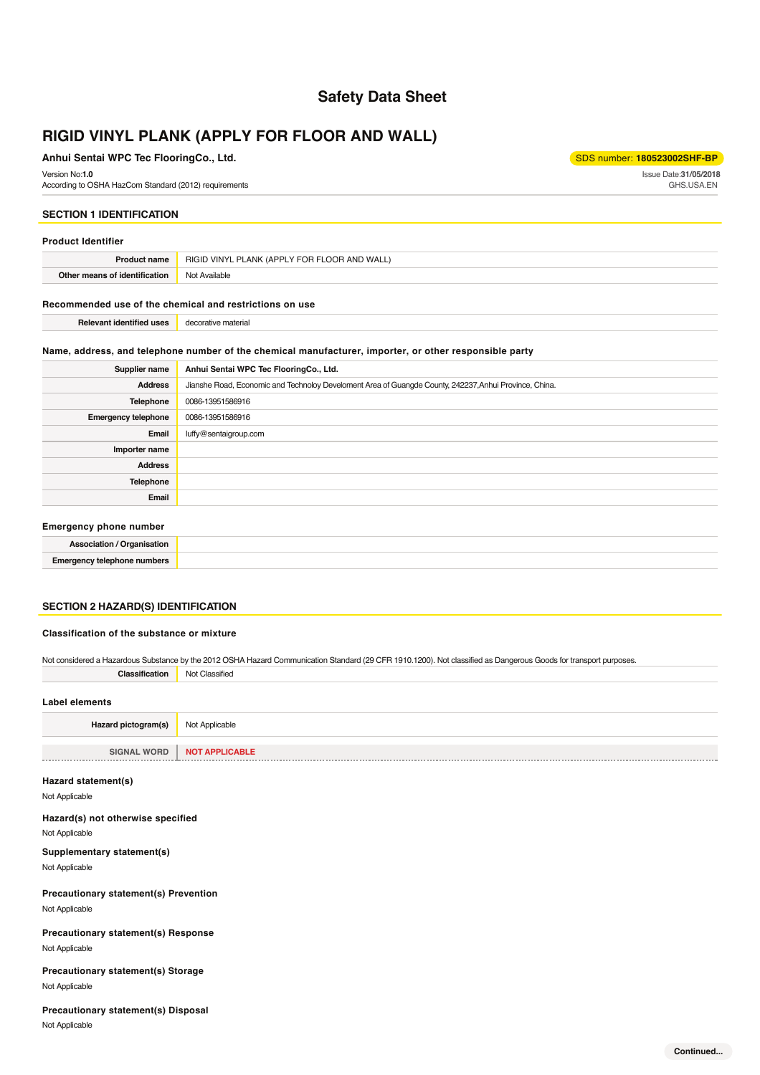# **Safety Data Sheet**

# **RIGID VINYL PLANK (APPLY FOR FLOOR AND WALL)**

#### **Anhui Sentai WPC Tec FlooringCo., Ltd.** Supering Communication of the state of the state of the state of the state of the state of the state of the state of the state of the state of the state of the state of the state of

Issue Date:**31/05/2018** GHS.USA.EN

#### Version No:**1.0**

According to OSHA HazCom Standard (2012) requirements

#### **SECTION 1 IDENTIFICATION**

#### **Product Identifier**

| Product<br>: name                  | <b>ANK (APP)</b><br>I V FOR FI<br>AND<br>) VINYL<br>RIGID<br><b>WALL</b> |
|------------------------------------|--------------------------------------------------------------------------|
| Othe<br>of identification<br>means | Not Available                                                            |

#### **Recommended use of the chemical and restrictions on use**

| <b>Relevant identified uses</b> | decorative material |
|---------------------------------|---------------------|
|---------------------------------|---------------------|

#### **Name, address, and telephone number of the chemical manufacturer, importer, or other responsible party**

| Supplier name                                                                                                                                                                                                                 | Anhui Sentai WPC Tec FlooringCo., Ltd.                                                                 |
|-------------------------------------------------------------------------------------------------------------------------------------------------------------------------------------------------------------------------------|--------------------------------------------------------------------------------------------------------|
| <b>Address</b>                                                                                                                                                                                                                | Jianshe Road, Economic and Technoloy Develoment Area of Guangde County, 242237, Anhui Province, China. |
| Telephone                                                                                                                                                                                                                     | 0086-13951586916                                                                                       |
| <b>Emergency telephone</b>                                                                                                                                                                                                    | 0086-13951586916                                                                                       |
| Email                                                                                                                                                                                                                         | luffy@sentaigroup.com                                                                                  |
| Importer name                                                                                                                                                                                                                 |                                                                                                        |
| <b>Address</b>                                                                                                                                                                                                                |                                                                                                        |
| Telephone                                                                                                                                                                                                                     |                                                                                                        |
| Email                                                                                                                                                                                                                         |                                                                                                        |
| For a construction of the construction of the construction of the construction of the construction of the construction of the construction of the construction of the construction of the construction of the construction of |                                                                                                        |

#### **Emergency phone number**

| ' Irnanieation<br>:neistinn<br>nsanon   |  |
|-----------------------------------------|--|
| <b>Emergency telephone</b><br>: numbers |  |

#### **SECTION 2 HAZARD(S) IDENTIFICATION**

#### **Classification of the substance or mixture**

| Not considered a Hazardous Substance by the 2012 OSHA Hazard Communication Standard (29 CFR 1910.1200). Not classified as Dangerous Goods for transport purposes. |                       |
|-------------------------------------------------------------------------------------------------------------------------------------------------------------------|-----------------------|
| Classification                                                                                                                                                    | Not Classified        |
|                                                                                                                                                                   |                       |
| Label elements                                                                                                                                                    |                       |
| Hazard pictogram(s)                                                                                                                                               | Not Applicable        |
|                                                                                                                                                                   |                       |
| <b>SIGNAL WORD</b>                                                                                                                                                | <b>NOT APPLICABLE</b> |

#### **Hazard statement(s)**

Not Applicable

#### **Hazard(s) not otherwise specified**

Not Applicable

**Supplementary statement(s)** Not Applicable

Not Applicable **Precautionary statement(s) Prevention**

# Not Applicable **Precautionary statement(s) Response**

# Not Applicable **Precautionary statement(s) Storage**

## **Precautionary statement(s) Disposal**

Not Applicable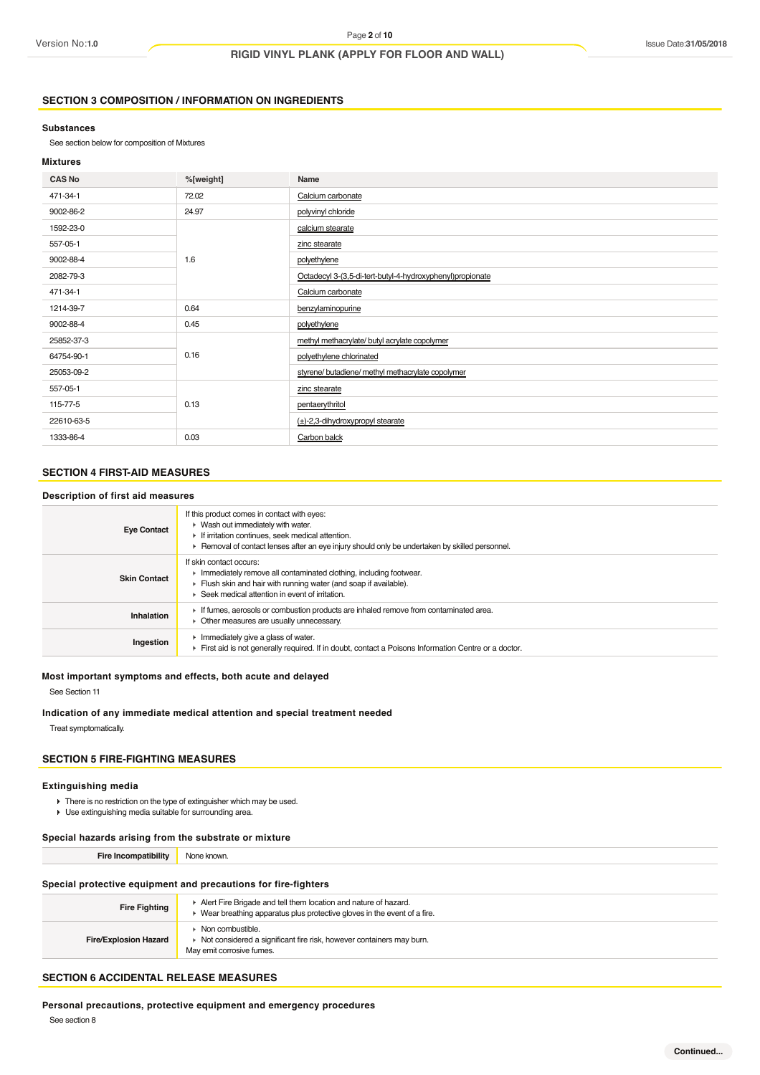#### **SECTION 3 COMPOSITION / INFORMATION ON INGREDIENTS**

#### **Substances**

See section below for composition of Mixtures

#### **Mixtures**

| <b>CAS No</b> | %[weight] | Name                                                      |
|---------------|-----------|-----------------------------------------------------------|
| 471-34-1      | 72.02     | Calcium carbonate                                         |
| 9002-86-2     | 24.97     | polyvinyl chloride                                        |
| 1592-23-0     |           | calcium stearate                                          |
| 557-05-1      |           | zinc stearate                                             |
| 9002-88-4     | 1.6       | polyethylene                                              |
| 2082-79-3     |           | Octadecyl 3-(3,5-di-tert-butyl-4-hydroxyphenyl)propionate |
| 471-34-1      |           | Calcium carbonate                                         |
| 1214-39-7     | 0.64      | benzylaminopurine                                         |
| 9002-88-4     | 0.45      | polyethylene                                              |
| 25852-37-3    |           | methyl methacrylate/ butyl acrylate copolymer             |
| 64754-90-1    | 0.16      | polyethylene chlorinated                                  |
| 25053-09-2    |           | styrene/ butadiene/ methyl methacrylate copolymer         |
| 557-05-1      |           | zinc stearate                                             |
| 115-77-5      | 0.13      | pentaerythritol                                           |
| 22610-63-5    |           | $(\pm)$ -2,3-dihydroxypropyl stearate                     |
| 1333-86-4     | 0.03      | Carbon balck                                              |

# **SECTION 4 FIRST-AID MEASURES**

#### **Description of first aid measures**

| If this product comes in contact with eyes:<br>$\triangleright$ Wash out immediately with water.<br>If irritation continues, seek medical attention.<br>► Removal of contact lenses after an eye injury should only be undertaken by skilled personnel. |
|---------------------------------------------------------------------------------------------------------------------------------------------------------------------------------------------------------------------------------------------------------|
| If skin contact occurs:<br>Inmediately remove all contaminated clothing, including footwear.<br>Flush skin and hair with running water (and soap if available).<br>$\blacktriangleright$ Seek medical attention in event of irritation.                 |
| If fumes, aerosols or combustion products are inhaled remove from contaminated area.<br>• Other measures are usually unnecessary.                                                                                                                       |
| Immediately give a glass of water.<br>First aid is not generally required. If in doubt, contact a Poisons Information Centre or a doctor.                                                                                                               |
|                                                                                                                                                                                                                                                         |

### **Most important symptoms and effects, both acute and delayed**

See Section 11

#### **Indication of any immediate medical attention and special treatment needed**

Treat symptomatically.

#### **SECTION 5 FIRE-FIGHTING MEASURES**

#### **Extinguishing media**

- There is no restriction on the type of extinguisher which may be used.
- Use extinguishing media suitable for surrounding area.

#### **Special hazards arising from the substrate or mixture**

**Fire Incompatibility** None known.

#### **Special protective equipment and precautions for fire-fighters**

| <b>Fire Fighting</b>         | Alert Fire Brigade and tell them location and nature of hazard.<br>$\blacktriangleright$ Wear breathing apparatus plus protective gloves in the event of a fire. |
|------------------------------|------------------------------------------------------------------------------------------------------------------------------------------------------------------|
| <b>Fire/Explosion Hazard</b> | Non combustible.<br>▶ Not considered a significant fire risk, however containers may burn.<br>May emit corrosive fumes.                                          |

## **SECTION 6 ACCIDENTAL RELEASE MEASURES**

**Personal precautions, protective equipment and emergency procedures**

See section 8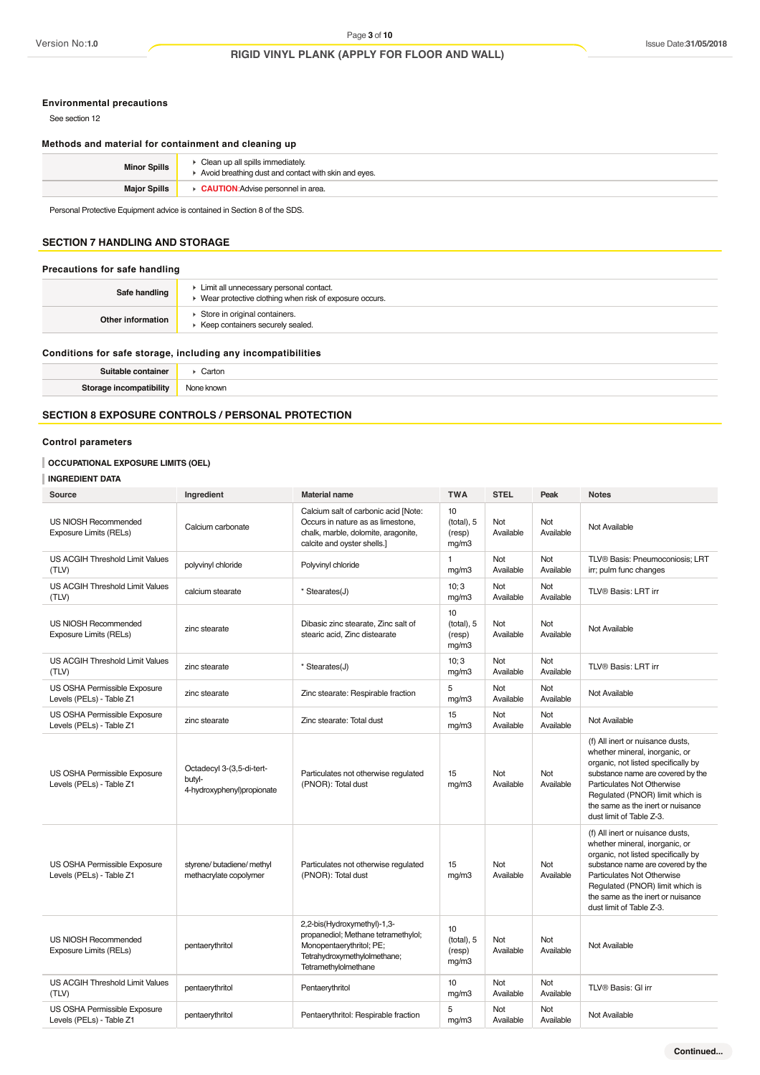#### **Environmental precautions**

See section 12

### **Methods and material for containment and cleaning up**

| <b>Minor Spills</b> | Clean up all spills immediately.<br>Avoid breathing dust and contact with skin and eyes. |
|---------------------|------------------------------------------------------------------------------------------|
| <b>Major Spills</b> | <b>CAUTION:</b> Advise personnel in area.                                                |

Personal Protective Equipment advice is contained in Section 8 of the SDS.

# **SECTION 7 HANDLING AND STORAGE**

#### **Precautions for safe handling**

| Safe handling     | ► Limit all unnecessary personal contact.<br>• Wear protective clothing when risk of exposure occurs. |
|-------------------|-------------------------------------------------------------------------------------------------------|
| Other information | Store in original containers.<br>▶ Keep containers securely sealed.                                   |
|                   |                                                                                                       |

#### **Conditions for safe storage, including any incompatibilities**

| .    | .arton      |
|------|-------------|
|      | .           |
| ulit | د ه ا<br>wn |

### **SECTION 8 EXPOSURE CONTROLS / PERSONAL PROTECTION**

### **Control parameters**

#### **OCCUPATIONAL EXPOSURE LIMITS (OEL)**

#### **INGREDIENT DATA**

| Source                                                   | Ingredient                                                        | <b>Material name</b>                                                                                                                                   | <b>TWA</b>                          | <b>STEL</b>      | Peak             | <b>Notes</b>                                                                                                                                                                                                                                                                     |
|----------------------------------------------------------|-------------------------------------------------------------------|--------------------------------------------------------------------------------------------------------------------------------------------------------|-------------------------------------|------------------|------------------|----------------------------------------------------------------------------------------------------------------------------------------------------------------------------------------------------------------------------------------------------------------------------------|
| US NIOSH Recommended<br>Exposure Limits (RELs)           | Calcium carbonate                                                 | Calcium salt of carbonic acid [Note:<br>Occurs in nature as as limestone,<br>chalk, marble, dolomite, aragonite,<br>calcite and oyster shells.]        | 10<br>(total), 5<br>(resp)<br>mg/m3 | Not<br>Available | Not<br>Available | Not Available                                                                                                                                                                                                                                                                    |
| US ACGIH Threshold Limit Values<br>(TLV)                 | polyvinyl chloride                                                | Polyvinyl chloride                                                                                                                                     | 1<br>mg/m3                          | Not<br>Available | Not<br>Available | TLV® Basis: Pneumoconiosis; LRT<br>irr; pulm func changes                                                                                                                                                                                                                        |
| US ACGIH Threshold Limit Values<br>(TLV)                 | calcium stearate                                                  | * Stearates(J)                                                                                                                                         | 10:3<br>mg/m3                       | Not<br>Available | Not<br>Available | TLV® Basis: LRT irr                                                                                                                                                                                                                                                              |
| US NIOSH Recommended<br>Exposure Limits (RELs)           | zinc stearate                                                     | Dibasic zinc stearate, Zinc salt of<br>stearic acid, Zinc distearate                                                                                   | 10<br>(total), 5<br>(resp)<br>mg/m3 | Not<br>Available | Not<br>Available | Not Available                                                                                                                                                                                                                                                                    |
| US ACGIH Threshold Limit Values<br>(TLV)                 | zinc stearate                                                     | * Stearates(J)                                                                                                                                         | 10; 3<br>mg/m3                      | Not<br>Available | Not<br>Available | TLV® Basis: LRT irr                                                                                                                                                                                                                                                              |
| US OSHA Permissible Exposure<br>Levels (PELs) - Table Z1 | zinc stearate                                                     | Zinc stearate: Respirable fraction                                                                                                                     | 5<br>mg/m3                          | Not<br>Available | Not<br>Available | Not Available                                                                                                                                                                                                                                                                    |
| US OSHA Permissible Exposure<br>Levels (PELs) - Table Z1 | zinc stearate                                                     | Zinc stearate: Total dust                                                                                                                              | 15<br>mg/m3                         | Not<br>Available | Not<br>Available | Not Available                                                                                                                                                                                                                                                                    |
| US OSHA Permissible Exposure<br>Levels (PELs) - Table Z1 | Octadecyl 3-(3,5-di-tert-<br>butyl-<br>4-hydroxyphenyl)propionate | Particulates not otherwise regulated<br>(PNOR): Total dust                                                                                             | 15<br>mq/m3                         | Not<br>Available | Not<br>Available | (f) All inert or nuisance dusts,<br>whether mineral, inorganic, or<br>organic, not listed specifically by<br>substance name are covered by the<br>Particulates Not Otherwise<br>Regulated (PNOR) limit which is<br>the same as the inert or nuisance<br>dust limit of Table Z-3. |
| US OSHA Permissible Exposure<br>Levels (PELs) - Table Z1 | styrene/ butadiene/ methyl<br>methacrylate copolymer              | Particulates not otherwise requlated<br>(PNOR): Total dust                                                                                             | 15<br>mg/m3                         | Not<br>Available | Not<br>Available | (f) All inert or nuisance dusts,<br>whether mineral, inorganic, or<br>organic, not listed specifically by<br>substance name are covered by the<br>Particulates Not Otherwise<br>Regulated (PNOR) limit which is<br>the same as the inert or nuisance<br>dust limit of Table Z-3. |
| US NIOSH Recommended<br>Exposure Limits (RELs)           | pentaerythritol                                                   | 2,2-bis(Hydroxymethyl)-1,3-<br>propanediol; Methane tetramethylol;<br>Monopentaerythritol; PE;<br>Tetrahydroxymethylolmethane;<br>Tetramethylolmethane | 10<br>(total), 5<br>(resp)<br>mg/m3 | Not<br>Available | Not<br>Available | Not Available                                                                                                                                                                                                                                                                    |
| US ACGIH Threshold Limit Values<br>(TLV)                 | pentaerythritol                                                   | Pentaerythritol                                                                                                                                        | 10<br>mg/m3                         | Not<br>Available | Not<br>Available | TLV® Basis: GI irr                                                                                                                                                                                                                                                               |
| US OSHA Permissible Exposure<br>Levels (PELs) - Table Z1 | pentaerythritol                                                   | Pentaerythritol: Respirable fraction                                                                                                                   | 5<br>mq/m3                          | Not<br>Available | Not<br>Available | Not Available                                                                                                                                                                                                                                                                    |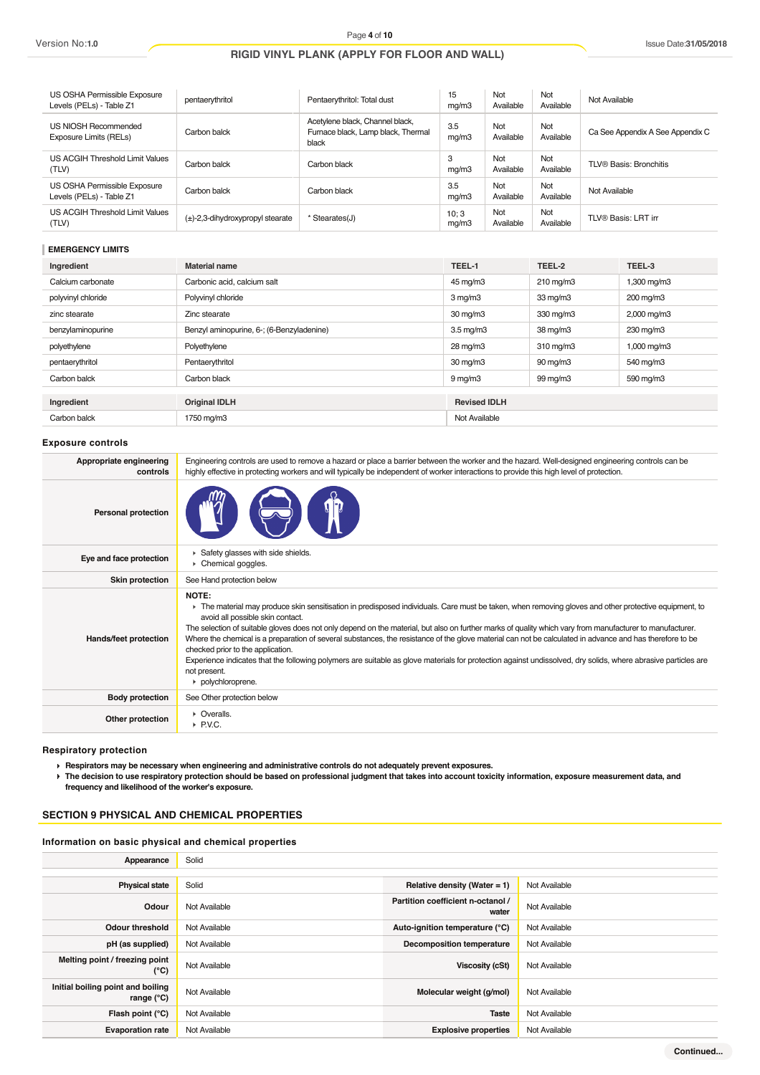| US OSHA Permissible Exposure<br>Levels (PELs) - Table Z1 | pentaerythritol                       | Pentaerythritol: Total dust                                                    | 15<br>mq/m3    | Not<br>Available | Not<br>Available | Not Available                    |
|----------------------------------------------------------|---------------------------------------|--------------------------------------------------------------------------------|----------------|------------------|------------------|----------------------------------|
| US NIOSH Recommended<br>Exposure Limits (RELs)           | Carbon balck                          | Acetylene black, Channel black,<br>Furnace black, Lamp black, Thermal<br>black | 3.5<br>mq/m3   | Not<br>Available | Not<br>Available | Ca See Appendix A See Appendix C |
| US ACGIH Threshold Limit Values<br>(TLV)                 | Carbon balck                          | Carbon black                                                                   | 3<br>mq/m3     | Not<br>Available | Not<br>Available | TLV® Basis: Bronchitis           |
| US OSHA Permissible Exposure<br>Levels (PELs) - Table Z1 | Carbon balck                          | Carbon black                                                                   | 3.5<br>mq/m3   | Not<br>Available | Not<br>Available | Not Available                    |
| US ACGIH Threshold Limit Values<br>(TLV)                 | $(\pm)$ -2,3-dihydroxypropyl stearate | * Stearates(J)                                                                 | 10; 3<br>mg/m3 | Not<br>Available | Not<br>Available | TLV® Basis: LRT irr              |

#### **EMERGENCY LIMITS**

| Ingredient         | Material name                             | TEEL-1              | TEEL-2         | TEEL-3      |
|--------------------|-------------------------------------------|---------------------|----------------|-------------|
| Calcium carbonate  | Carbonic acid, calcium salt               | 45 mg/m3            | $210$ mg/m $3$ | 1,300 mg/m3 |
| polyvinyl chloride | Polyvinyl chloride                        | $3 \text{ mg/m}$    | 33 mg/m3       | 200 mg/m3   |
| zinc stearate      | Zinc stearate                             | $30 \text{ mg/m}$   | 330 mg/m3      | 2,000 mg/m3 |
| benzylaminopurine  | Benzyl aminopurine, 6-; (6-Benzyladenine) | $3.5 \text{ mg/m}$  | 38 mg/m3       | 230 mg/m3   |
| polyethylene       | Polyethylene                              | 28 mg/m3            | $310$ mg/m $3$ | 1,000 mg/m3 |
| pentaerythritol    | Pentaerythritol                           | 30 mg/m3            | 90 mg/m3       | 540 mg/m3   |
| Carbon balck       | Carbon black                              | $9 \,\mathrm{mg/m}$ | 99 mg/m3       | 590 mg/m3   |
|                    |                                           |                     |                |             |
| Ingredient         | <b>Original IDLH</b>                      | <b>Revised IDLH</b> |                |             |
| Carbon balck       | 1750 mg/m3                                | Not Available       |                |             |

#### **Exposure controls**

| Appropriate engineering<br>controls | Engineering controls are used to remove a hazard or place a barrier between the worker and the hazard. Well-designed engineering controls can be<br>highly effective in protecting workers and will typically be independent of worker interactions to provide this high level of protection.                                                                                                                                                                                                                                                                                                                                                                                                                                                                       |
|-------------------------------------|---------------------------------------------------------------------------------------------------------------------------------------------------------------------------------------------------------------------------------------------------------------------------------------------------------------------------------------------------------------------------------------------------------------------------------------------------------------------------------------------------------------------------------------------------------------------------------------------------------------------------------------------------------------------------------------------------------------------------------------------------------------------|
| Personal protection                 |                                                                                                                                                                                                                                                                                                                                                                                                                                                                                                                                                                                                                                                                                                                                                                     |
| Eye and face protection             | Safety glasses with side shields.<br>Chemical goggles.                                                                                                                                                                                                                                                                                                                                                                                                                                                                                                                                                                                                                                                                                                              |
| <b>Skin protection</b>              | See Hand protection below                                                                                                                                                                                                                                                                                                                                                                                                                                                                                                                                                                                                                                                                                                                                           |
| Hands/feet protection               | NOTE:<br>The material may produce skin sensitisation in predisposed individuals. Care must be taken, when removing gloves and other protective equipment, to<br>avoid all possible skin contact.<br>The selection of suitable gloves does not only depend on the material, but also on further marks of quality which vary from manufacturer to manufacturer.<br>Where the chemical is a preparation of several substances, the resistance of the glove material can not be calculated in advance and has therefore to be<br>checked prior to the application.<br>Experience indicates that the following polymers are suitable as glove materials for protection against undissolved, dry solids, where abrasive particles are<br>not present.<br>polychloroprene. |
| <b>Body protection</b>              | See Other protection below                                                                                                                                                                                                                                                                                                                                                                                                                                                                                                                                                                                                                                                                                                                                          |
| Other protection                    | • Overalls.<br>$\triangleright$ P.V.C.                                                                                                                                                                                                                                                                                                                                                                                                                                                                                                                                                                                                                                                                                                                              |

**Respiratory protection**

**Respirators may be necessary when engineering and administrative controls do not adequately prevent exposures.**

**The decision to use respiratory protection should be based on professional judgment that takes into account toxicity information, exposure measurement data, and frequency and likelihood of the worker's exposure.**

# **SECTION 9 PHYSICAL AND CHEMICAL PROPERTIES**

#### **Information on basic physical and chemical properties**

| Appearance                                               | Solid         |                                            |               |
|----------------------------------------------------------|---------------|--------------------------------------------|---------------|
|                                                          |               |                                            |               |
| <b>Physical state</b>                                    | Solid         | Relative density (Water = $1$ )            | Not Available |
| Odour                                                    | Not Available | Partition coefficient n-octanol /<br>water | Not Available |
| <b>Odour threshold</b>                                   | Not Available | Auto-ignition temperature (°C)             | Not Available |
| pH (as supplied)                                         | Not Available | <b>Decomposition temperature</b>           | Not Available |
| Melting point / freezing point<br>$(^{\circ}C)$          | Not Available | <b>Viscosity (cSt)</b>                     | Not Available |
| Initial boiling point and boiling<br>range $(^{\circ}C)$ | Not Available | Molecular weight (g/mol)                   | Not Available |
| Flash point (°C)                                         | Not Available | <b>Taste</b>                               | Not Available |
| <b>Evaporation rate</b>                                  | Not Available | <b>Explosive properties</b>                | Not Available |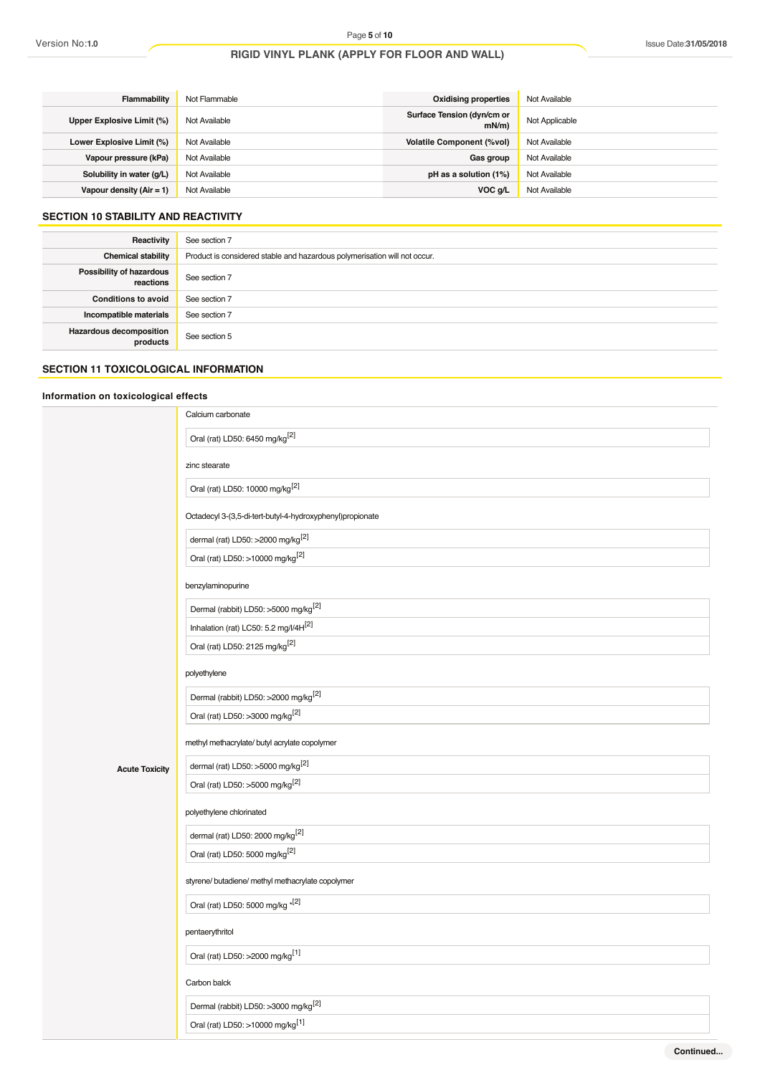| <b>Flammability</b>        | Not Flammable | Oxidising properties               | Not Available  |
|----------------------------|---------------|------------------------------------|----------------|
| Upper Explosive Limit (%)  | Not Available | Surface Tension (dyn/cm or<br>mN/m | Not Applicable |
| Lower Explosive Limit (%)  | Not Available | <b>Volatile Component (%vol)</b>   | Not Available  |
| Vapour pressure (kPa)      | Not Available | Gas group                          | Not Available  |
| Solubility in water (q/L)  | Not Available | pH as a solution (1%)              | Not Available  |
| Vapour density $(Air = 1)$ | Not Available | VOC q/L                            | Not Available  |

# **SECTION 10 STABILITY AND REACTIVITY**

| Reactivity                                 | See section 7                                                             |
|--------------------------------------------|---------------------------------------------------------------------------|
| <b>Chemical stability</b>                  | Product is considered stable and hazardous polymerisation will not occur. |
| Possibility of hazardous<br>reactions      | See section 7                                                             |
| <b>Conditions to avoid</b>                 | See section 7                                                             |
| Incompatible materials                     | See section 7                                                             |
| <b>Hazardous decomposition</b><br>products | See section 5                                                             |

## **SECTION 11 TOXICOLOGICAL INFORMATION**

# **Information on toxicological effects**

|                       | Calcium carbonate                                         |
|-----------------------|-----------------------------------------------------------|
|                       | Oral (rat) LD50: 6450 mg/kg <sup>[2]</sup>                |
|                       | zinc stearate                                             |
|                       | Oral (rat) LD50: 10000 mg/kg <sup>[2]</sup>               |
|                       | Octadecyl 3-(3,5-di-tert-butyl-4-hydroxyphenyl)propionate |
|                       | dermal (rat) LD50: >2000 mg/kg $^{[2]}$                   |
|                       | Oral (rat) LD50: >10000 mg/kg <sup>[2]</sup>              |
|                       | benzylaminopurine                                         |
|                       | Dermal (rabbit) LD50: >5000 mg/kg <sup>[2]</sup>          |
|                       | Inhalation (rat) LC50: 5.2 mg/l/4H[2]                     |
|                       | Oral (rat) LD50: 2125 mg/kg <sup>[2]</sup>                |
|                       | polyethylene                                              |
|                       | Dermal (rabbit) LD50: >2000 mg/kg <sup>[2]</sup>          |
|                       | Oral (rat) LD50: >3000 mg/kg <sup>[2]</sup>               |
|                       | methyl methacrylate/ butyl acrylate copolymer             |
| <b>Acute Toxicity</b> | dermal (rat) LD50: >5000 mg/kg <sup>[2]</sup>             |
|                       | Oral (rat) LD50: >5000 mg/kg <sup>[2]</sup>               |
|                       | polyethylene chlorinated                                  |
|                       | dermal (rat) LD50: 2000 mg/kg <sup>[2]</sup>              |
|                       | Oral (rat) LD50: 5000 mg/kg <sup>[2]</sup>                |
|                       | styrene/ butadiene/ methyl methacrylate copolymer         |
|                       | Oral (rat) LD50: 5000 mg/kg *[2]                          |
|                       | pentaerythritol                                           |
|                       | Oral (rat) LD50: >2000 mg/kg <sup>[1]</sup>               |
|                       | Carbon balck                                              |
|                       | Dermal (rabbit) LD50: >3000 mg/kg <sup>[2]</sup>          |
|                       | Oral (rat) LD50: >10000 mg/kg <sup>[1]</sup>              |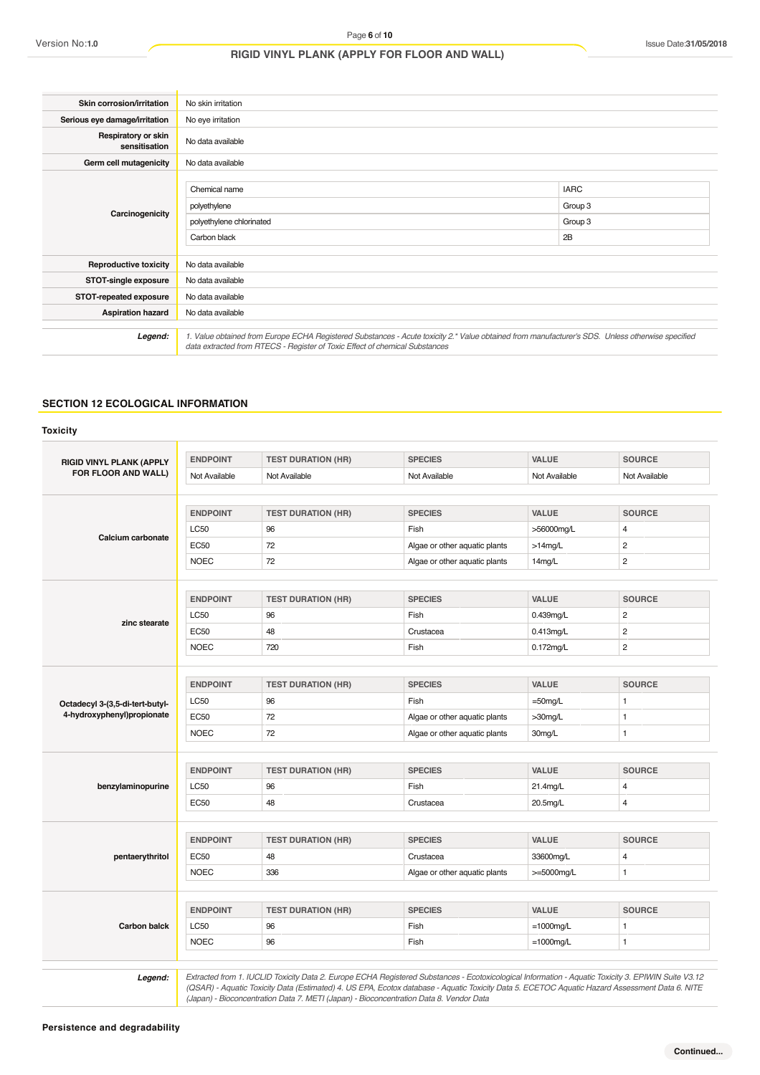| Skin corrosion/irritation            | No skin irritation                                                                                                                                                                                                              |                                         |  |
|--------------------------------------|---------------------------------------------------------------------------------------------------------------------------------------------------------------------------------------------------------------------------------|-----------------------------------------|--|
| Serious eye damage/irritation        | No eye irritation                                                                                                                                                                                                               |                                         |  |
| Respiratory or skin<br>sensitisation | No data available                                                                                                                                                                                                               |                                         |  |
| Germ cell mutagenicity               | No data available                                                                                                                                                                                                               |                                         |  |
| Carcinogenicity                      | Chemical name<br>polyethylene<br>polyethylene chlorinated<br>Carbon black                                                                                                                                                       | <b>IARC</b><br>Group 3<br>Group 3<br>2B |  |
| <b>Reproductive toxicity</b>         | No data available                                                                                                                                                                                                               |                                         |  |
| STOT-single exposure                 | No data available                                                                                                                                                                                                               |                                         |  |
| STOT-repeated exposure               | No data available                                                                                                                                                                                                               |                                         |  |
| <b>Aspiration hazard</b>             | No data available                                                                                                                                                                                                               |                                         |  |
| Legend:                              | 1. Value obtained from Europe ECHA Registered Substances - Acute toxicity 2.* Value obtained from manufacturer's SDS. Unless otherwise specified<br>data extracted from RTECS - Register of Toxic Effect of chemical Substances |                                         |  |

# **SECTION 12 ECOLOGICAL INFORMATION**

| <b>RIGID VINYL PLANK (APPLY</b> | <b>ENDPOINT</b> | <b>TEST DURATION (HR)</b> | <b>SPECIES</b>                | VALUE                      | <b>SOURCE</b>  |
|---------------------------------|-----------------|---------------------------|-------------------------------|----------------------------|----------------|
| FOR FLOOR AND WALL)             | Not Available   | Not Available             | Not Available                 | Not Available              | Not Available  |
|                                 |                 |                           |                               |                            |                |
|                                 | <b>ENDPOINT</b> | <b>TEST DURATION (HR)</b> | <b>SPECIES</b>                | <b>VALUE</b>               | <b>SOURCE</b>  |
| Calcium carbonate               | <b>LC50</b>     | 96                        | Fish                          | >56000mg/L                 | 4              |
|                                 | <b>EC50</b>     | 72                        | Algae or other aquatic plants | $>14$ mg/L                 | $\overline{c}$ |
|                                 | <b>NOEC</b>     | 72                        | Algae or other aquatic plants | 14mg/L                     | $\overline{c}$ |
|                                 | <b>ENDPOINT</b> | <b>TEST DURATION (HR)</b> | <b>SPECIES</b>                | VALUE                      | <b>SOURCE</b>  |
|                                 | LC50            | 96                        | Fish                          | 0.439mg/L                  | $\overline{c}$ |
| zinc stearate                   | <b>EC50</b>     | 48                        | Crustacea                     | $0.413$ mg/L               | $\overline{c}$ |
|                                 | <b>NOEC</b>     | 720                       | Fish                          | $0.172$ mg/L               | $\overline{c}$ |
|                                 |                 |                           |                               |                            |                |
|                                 | <b>ENDPOINT</b> | <b>TEST DURATION (HR)</b> | <b>SPECIES</b>                | <b>VALUE</b>               | <b>SOURCE</b>  |
| Octadecyl 3-(3,5-di-tert-butyl- | <b>LC50</b>     | 96                        | Fish                          | $=50$ mg/L                 | $\mathbf{1}$   |
| 4-hydroxyphenyl)propionate      | <b>EC50</b>     | 72                        | Algae or other aquatic plants | >30mg/L                    | 1              |
|                                 | <b>NOEC</b>     | 72                        | Algae or other aquatic plants | 30mg/L                     | $\mathbf{1}$   |
|                                 | <b>ENDPOINT</b> | <b>TEST DURATION (HR)</b> | <b>SPECIES</b>                | VALUE                      | <b>SOURCE</b>  |
| benzylaminopurine               | LC50            | 96                        | Fish                          | 21.4mg/L                   | 4              |
|                                 | <b>EC50</b>     | 48                        | Crustacea                     | 20.5mg/L                   | $\overline{4}$ |
|                                 | <b>ENDPOINT</b> | <b>TEST DURATION (HR)</b> | <b>SPECIES</b>                | VALUE                      | <b>SOURCE</b>  |
|                                 | <b>EC50</b>     | 48                        | Crustacea                     |                            | 4              |
| pentaerythritol                 | <b>NOEC</b>     | 336                       | Algae or other aquatic plants | 33600mg/L<br>$>=5000$ mg/L | $\mathbf{1}$   |
|                                 |                 |                           |                               |                            |                |
|                                 | <b>ENDPOINT</b> | <b>TEST DURATION (HR)</b> | <b>SPECIES</b>                | VALUE                      | <b>SOURCE</b>  |
| <b>Carbon balck</b>             | <b>LC50</b>     | 96                        | Fish                          | $=1000$ mg/L               | $\mathbf{1}$   |
|                                 | <b>NOEC</b>     | 96                        | Fish                          | $=1000$ mg/L               | $\mathbf{1}$   |

1: Extracted from 1. IUCLID Toxicity Data 2. Europe ECHA Registered Substances - Ecotoxicological Information - Aquatic Toxicity 3. EPIWIN Suite V3.12<br>QSAR) - Aquatic Toxicity Data (Estimated) 4. US EPA, Ecotox database - *(Japan) - Bioconcentration Data 7. METI (Japan) - Bioconcentration Data 8. Vendor Data*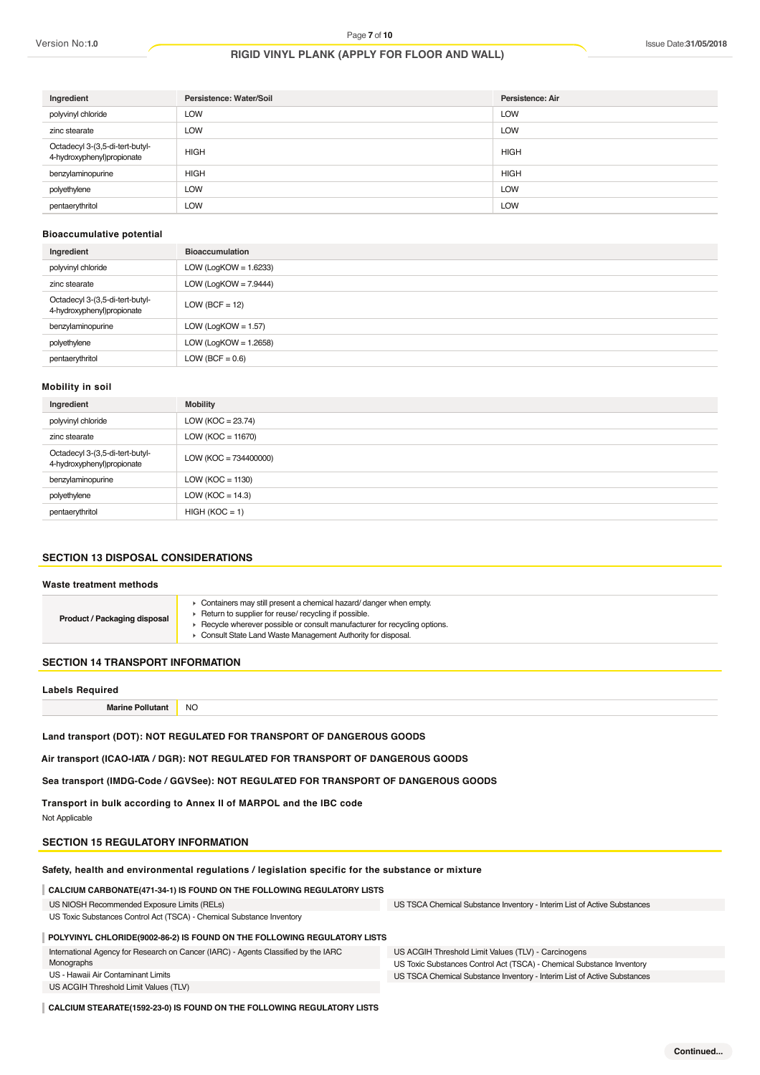| Ingredient                                                    | Persistence: Water/Soil | Persistence: Air |
|---------------------------------------------------------------|-------------------------|------------------|
| polyvinyl chloride                                            | <b>LOW</b>              | <b>LOW</b>       |
| zinc stearate                                                 | LOW                     | <b>LOW</b>       |
| Octadecyl 3-(3,5-di-tert-butyl-<br>4-hydroxyphenyl)propionate | <b>HIGH</b>             | <b>HIGH</b>      |
| benzylaminopurine                                             | <b>HIGH</b>             | <b>HIGH</b>      |
| polyethylene                                                  | <b>LOW</b>              | <b>LOW</b>       |
| pentaerythritol                                               | <b>LOW</b>              | <b>LOW</b>       |

#### **Bioaccumulative potential**

| Ingredient                                                    | <b>Bioaccumulation</b>   |
|---------------------------------------------------------------|--------------------------|
| polyvinyl chloride                                            | LOW (LogKOW = $1.6233$ ) |
| zinc stearate                                                 | LOW (LogKOW = $7.9444$ ) |
| Octadecyl 3-(3,5-di-tert-butyl-<br>4-hydroxyphenyl)propionate | $LOW (BCF = 12)$         |
| benzylaminopurine                                             | LOW (LogKOW = $1.57$ )   |
| polyethylene                                                  | LOW (LogKOW = $1.2658$ ) |
| pentaerythritol                                               | LOW (BCF = $0.6$ )       |

#### **Mobility in soil**

| Ingredient                                                    | <b>Mobility</b>         |
|---------------------------------------------------------------|-------------------------|
| polyvinyl chloride                                            | LOW (KOC = $23.74$ )    |
| zinc stearate                                                 | LOW ( $KOC = 11670$ )   |
| Octadecyl 3-(3,5-di-tert-butyl-<br>4-hydroxyphenyl)propionate | $LOW (KOC = 734400000)$ |
| benzylaminopurine                                             | LOW ( $KOC = 1130$ )    |
| polyethylene                                                  | LOW ( $KOC = 14.3$ )    |
| pentaerythritol                                               | $HIGH (KOC = 1)$        |

#### **SECTION 13 DISPOSAL CONSIDERATIONS**

#### **Waste treatment methods**

| Product / Packaging disposal | Containers may still present a chemical hazard/ danger when empty.<br>Return to supplier for reuse/ recycling if possible.<br>Recycle wherever possible or consult manufacturer for recycling options.<br>Consult State Land Waste Management Authority for disposal. |
|------------------------------|-----------------------------------------------------------------------------------------------------------------------------------------------------------------------------------------------------------------------------------------------------------------------|
|                              |                                                                                                                                                                                                                                                                       |

#### **SECTION 14 TRANSPORT INFORMATION**

#### **Labels Required**

**Marine Pollutant** NO

**Land transport (DOT): NOT REGULATED FOR TRANSPORT OF DANGEROUS GOODS**

**Air transport (ICAO-IATA / DGR): NOT REGULATED FOR TRANSPORT OF DANGEROUS GOODS**

**Sea transport (IMDG-Code / GGVSee): NOT REGULATED FOR TRANSPORT OF DANGEROUS GOODS**

**Transport in bulk according to Annex II of MARPOL and the IBC code**

Not Applicable

#### **SECTION 15 REGULATORY INFORMATION**

#### **Safety, health and environmental regulations / legislation specific for the substance or mixture**

#### **CALCIUM CARBONATE(471-34-1) IS FOUND ON THE FOLLOWING REGULATORY LISTS**

US NIOSH Recommended Exposure Limits (RELs)

US Toxic Substances Control Act (TSCA) - Chemical Substance Inventory

US TSCA Chemical Substance Inventory - Interim List of Active Substances

#### **POLYVINYL CHLORIDE(9002-86-2) IS FOUND ON THE FOLLOWING REGULATORY LISTS**

| International Agency for Research on Cancer (IARC) - Agents Classified by the IARC |  |
|------------------------------------------------------------------------------------|--|
| Monographs                                                                         |  |

US - Hawaii Air Contaminant Limits

US ACGIH Threshold Limit Values (TLV)

US ACGIH Threshold Limit Values (TLV) - Carcinogens US Toxic Substances Control Act (TSCA) - Chemical Substance Inventory US TSCA Chemical Substance Inventory - Interim List of Active Substances

**CALCIUM STEARATE(1592-23-0) IS FOUND ON THE FOLLOWING REGULATORY LISTS**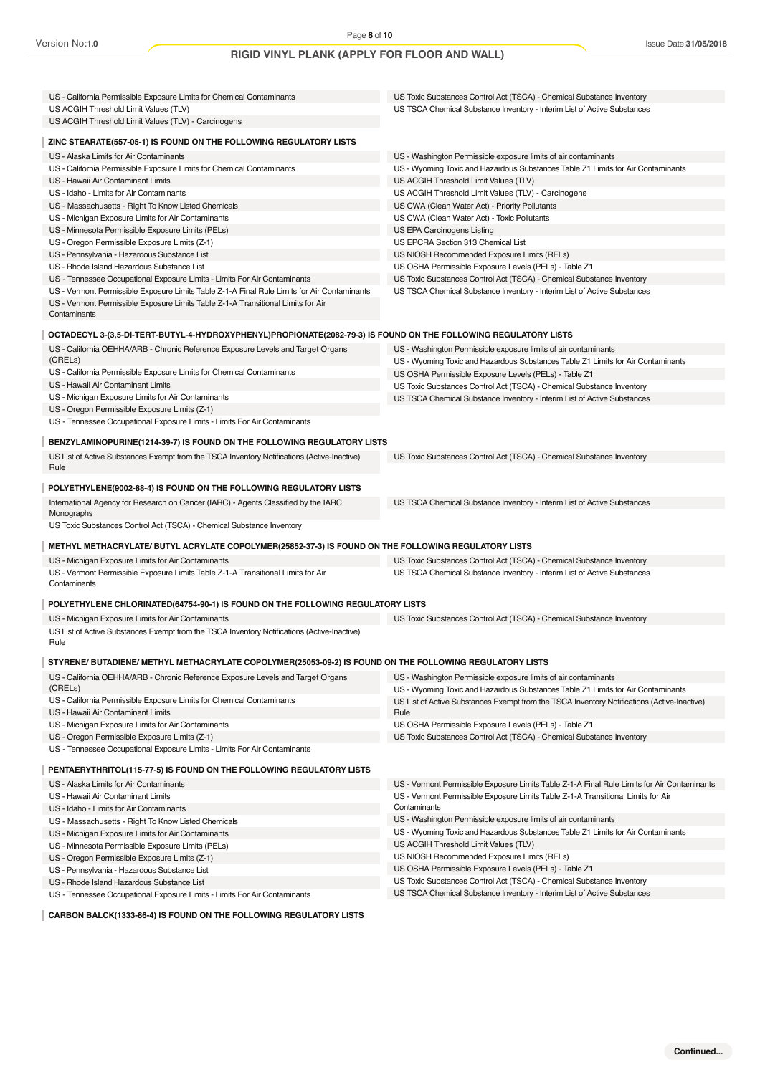| US - California Permissible Exposure Limits for Chemical Contaminants<br>US ACGIH Threshold Limit Values (TLV)                                                                                  | US Toxic Substances Control Act (TSCA) - Chemical Substance Inventory<br>US TSCA Chemical Substance Inventory - Interim List of Active Substances |
|-------------------------------------------------------------------------------------------------------------------------------------------------------------------------------------------------|---------------------------------------------------------------------------------------------------------------------------------------------------|
| US ACGIH Threshold Limit Values (TLV) - Carcinogens                                                                                                                                             |                                                                                                                                                   |
| ZINC STEARATE(557-05-1) IS FOUND ON THE FOLLOWING REGULATORY LISTS                                                                                                                              |                                                                                                                                                   |
| US - Alaska Limits for Air Contaminants                                                                                                                                                         | US - Washington Permissible exposure limits of air contaminants                                                                                   |
| US - California Permissible Exposure Limits for Chemical Contaminants                                                                                                                           | US - Wyoming Toxic and Hazardous Substances Table Z1 Limits for Air Contaminants                                                                  |
| US - Hawaii Air Contaminant Limits                                                                                                                                                              | US ACGIH Threshold Limit Values (TLV)                                                                                                             |
| US - Idaho - Limits for Air Contaminants                                                                                                                                                        | US ACGIH Threshold Limit Values (TLV) - Carcinogens                                                                                               |
| US - Massachusetts - Right To Know Listed Chemicals                                                                                                                                             | US CWA (Clean Water Act) - Priority Pollutants                                                                                                    |
| US - Michigan Exposure Limits for Air Contaminants                                                                                                                                              | US CWA (Clean Water Act) - Toxic Pollutants                                                                                                       |
| US - Minnesota Permissible Exposure Limits (PELs)                                                                                                                                               | US EPA Carcinogens Listing                                                                                                                        |
| US - Oregon Permissible Exposure Limits (Z-1)                                                                                                                                                   | US EPCRA Section 313 Chemical List                                                                                                                |
| US - Pennsylvania - Hazardous Substance List                                                                                                                                                    | US NIOSH Recommended Exposure Limits (RELs)                                                                                                       |
| US - Rhode Island Hazardous Substance List                                                                                                                                                      | US OSHA Permissible Exposure Levels (PELs) - Table Z1                                                                                             |
| US - Tennessee Occupational Exposure Limits - Limits For Air Contaminants                                                                                                                       | US Toxic Substances Control Act (TSCA) - Chemical Substance Inventory                                                                             |
|                                                                                                                                                                                                 |                                                                                                                                                   |
| US - Vermont Permissible Exposure Limits Table Z-1-A Final Rule Limits for Air Contaminants<br>US - Vermont Permissible Exposure Limits Table Z-1-A Transitional Limits for Air<br>Contaminants | US TSCA Chemical Substance Inventory - Interim List of Active Substances                                                                          |
| OCTADECYL 3-(3,5-DI-TERT-BUTYL-4-HYDROXYPHENYL)PROPIONATE(2082-79-3) IS FOUND ON THE FOLLOWING REGULATORY LISTS                                                                                 |                                                                                                                                                   |
| US - California OEHHA/ARB - Chronic Reference Exposure Levels and Target Organs                                                                                                                 | US - Washington Permissible exposure limits of air contaminants                                                                                   |
| (CRELs)                                                                                                                                                                                         | US - Wyoming Toxic and Hazardous Substances Table Z1 Limits for Air Contaminants                                                                  |
| US - California Permissible Exposure Limits for Chemical Contaminants                                                                                                                           | US OSHA Permissible Exposure Levels (PELs) - Table Z1                                                                                             |
| US - Hawaii Air Contaminant Limits                                                                                                                                                              | US Toxic Substances Control Act (TSCA) - Chemical Substance Inventory                                                                             |
| US - Michigan Exposure Limits for Air Contaminants                                                                                                                                              | US TSCA Chemical Substance Inventory - Interim List of Active Substances                                                                          |
| US - Oregon Permissible Exposure Limits (Z-1)                                                                                                                                                   |                                                                                                                                                   |
| US - Tennessee Occupational Exposure Limits - Limits For Air Contaminants                                                                                                                       |                                                                                                                                                   |
|                                                                                                                                                                                                 |                                                                                                                                                   |
| BENZYLAMINOPURINE(1214-39-7) IS FOUND ON THE FOLLOWING REGULATORY LISTS                                                                                                                         |                                                                                                                                                   |
| US List of Active Substances Exempt from the TSCA Inventory Notifications (Active-Inactive)<br>Rule                                                                                             | US Toxic Substances Control Act (TSCA) - Chemical Substance Inventory                                                                             |
| POLYETHYLENE(9002-88-4) IS FOUND ON THE FOLLOWING REGULATORY LISTS                                                                                                                              |                                                                                                                                                   |
|                                                                                                                                                                                                 |                                                                                                                                                   |
| International Agency for Research on Cancer (IARC) - Agents Classified by the IARC<br>Monographs                                                                                                | US TSCA Chemical Substance Inventory - Interim List of Active Substances                                                                          |
| US Toxic Substances Control Act (TSCA) - Chemical Substance Inventory                                                                                                                           |                                                                                                                                                   |
| METHYL METHACRYLATE/ BUTYL ACRYLATE COPOLYMER(25852-37-3) IS FOUND ON THE FOLLOWING REGULATORY LISTS                                                                                            |                                                                                                                                                   |
| US - Michigan Exposure Limits for Air Contaminants                                                                                                                                              | US Toxic Substances Control Act (TSCA) - Chemical Substance Inventory                                                                             |
| US - Vermont Permissible Exposure Limits Table Z-1-A Transitional Limits for Air                                                                                                                | US TSCA Chemical Substance Inventory - Interim List of Active Substances                                                                          |
| Contaminants                                                                                                                                                                                    |                                                                                                                                                   |
| POLYETHYLENE CHLORINATED (64754-90-1) IS FOUND ON THE FOLLOWING REGULATORY LISTS                                                                                                                |                                                                                                                                                   |
| US - Michigan Exposure Limits for Air Contaminants                                                                                                                                              | US Toxic Substances Control Act (TSCA) - Chemical Substance Inventory                                                                             |
| US List of Active Substances Exempt from the TSCA Inventory Notifications (Active-Inactive)<br>Rule                                                                                             |                                                                                                                                                   |
| STYRENE/ BUTADIENE/ METHYL METHACRYLATE COPOLYMER(25053-09-2) IS FOUND ON THE FOLLOWING REGULATORY LISTS                                                                                        |                                                                                                                                                   |
| US - California OEHHA/ARB - Chronic Reference Exposure Levels and Target Organs                                                                                                                 | US - Washington Permissible exposure limits of air contaminants                                                                                   |
| (CRELs)                                                                                                                                                                                         | US - Wyoming Toxic and Hazardous Substances Table Z1 Limits for Air Contaminants                                                                  |
| US - California Permissible Exposure Limits for Chemical Contaminants                                                                                                                           | US List of Active Substances Exempt from the TSCA Inventory Notifications (Active-Inactive)                                                       |
| US - Hawaii Air Contaminant Limits                                                                                                                                                              | Rule                                                                                                                                              |
| US - Michigan Exposure Limits for Air Contaminants                                                                                                                                              | US OSHA Permissible Exposure Levels (PELs) - Table Z1                                                                                             |
| US - Oregon Permissible Exposure Limits (Z-1)                                                                                                                                                   | US Toxic Substances Control Act (TSCA) - Chemical Substance Inventory                                                                             |
| US - Tennessee Occupational Exposure Limits - Limits For Air Contaminants                                                                                                                       |                                                                                                                                                   |
| PENTAERYTHRITOL(115-77-5) IS FOUND ON THE FOLLOWING REGULATORY LISTS                                                                                                                            |                                                                                                                                                   |
| US - Alaska Limits for Air Contaminants                                                                                                                                                         | US - Vermont Permissible Exposure Limits Table Z-1-A Final Rule Limits for Air Contaminants                                                       |
|                                                                                                                                                                                                 |                                                                                                                                                   |
| US - Hawaii Air Contaminant Limits                                                                                                                                                              | US - Vermont Permissible Exposure Limits Table Z-1-A Transitional Limits for Air<br>Contaminants                                                  |
| US - Idaho - Limits for Air Contaminants                                                                                                                                                        | US - Washington Permissible exposure limits of air contaminants                                                                                   |
| US - Massachusetts - Right To Know Listed Chemicals                                                                                                                                             |                                                                                                                                                   |
| US - Michigan Exposure Limits for Air Contaminants                                                                                                                                              | US - Wyoming Toxic and Hazardous Substances Table Z1 Limits for Air Contaminants                                                                  |
| US - Minnesota Permissible Exposure Limits (PELs)                                                                                                                                               | US ACGIH Threshold Limit Values (TLV)                                                                                                             |
| US - Oregon Permissible Exposure Limits (Z-1)                                                                                                                                                   | US NIOSH Recommended Exposure Limits (RELs)                                                                                                       |
| US - Pennsylvania - Hazardous Substance List                                                                                                                                                    | US OSHA Permissible Exposure Levels (PELs) - Table Z1                                                                                             |
| US - Rhode Island Hazardous Substance List                                                                                                                                                      | US Toxic Substances Control Act (TSCA) - Chemical Substance Inventory<br>US TSCA Chemical Substance Inventory - Interim List of Active Substances |
| US - Tennessee Occupational Exposure Limits - Limits For Air Contaminants                                                                                                                       |                                                                                                                                                   |

**CARBON BALCK(1333-86-4) IS FOUND ON THE FOLLOWING REGULATORY LISTS**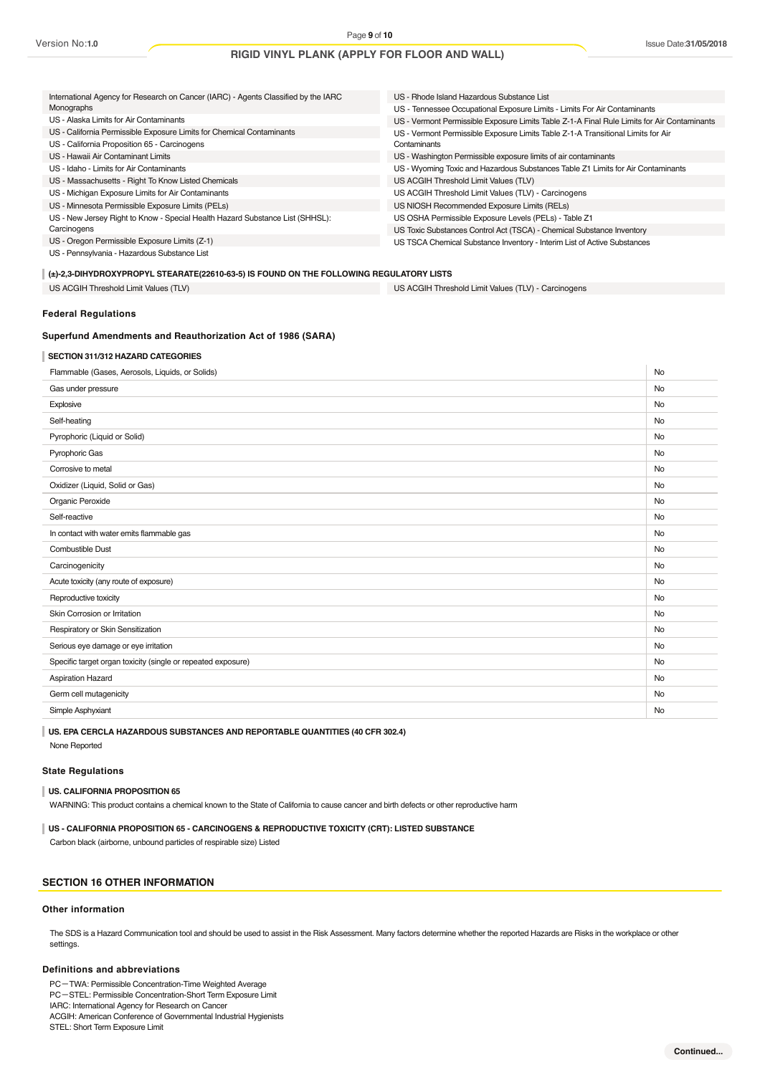| International Agency for Research on Cancer (IARC) - Agents Classified by the IARC      | US - Rhode Island Hazardous Substance List                                                  |  |  |  |  |
|-----------------------------------------------------------------------------------------|---------------------------------------------------------------------------------------------|--|--|--|--|
| Monographs                                                                              | US - Tennessee Occupational Exposure Limits - Limits For Air Contaminants                   |  |  |  |  |
| US - Alaska Limits for Air Contaminants                                                 | US - Vermont Permissible Exposure Limits Table Z-1-A Final Rule Limits for Air Contaminants |  |  |  |  |
| US - California Permissible Exposure Limits for Chemical Contaminants                   | US - Vermont Permissible Exposure Limits Table Z-1-A Transitional Limits for Air            |  |  |  |  |
| US - California Proposition 65 - Carcinogens                                            | Contaminants                                                                                |  |  |  |  |
| US - Hawaii Air Contaminant Limits                                                      | US - Washington Permissible exposure limits of air contaminants                             |  |  |  |  |
| US - Idaho - Limits for Air Contaminants                                                | US - Wyoming Toxic and Hazardous Substances Table Z1 Limits for Air Contaminants            |  |  |  |  |
| US - Massachusetts - Right To Know Listed Chemicals                                     | US ACGIH Threshold Limit Values (TLV)                                                       |  |  |  |  |
| US - Michigan Exposure Limits for Air Contaminants                                      | US ACGIH Threshold Limit Values (TLV) - Carcinogens                                         |  |  |  |  |
| US - Minnesota Permissible Exposure Limits (PELs)                                       | US NIOSH Recommended Exposure Limits (RELs)                                                 |  |  |  |  |
| US - New Jersey Right to Know - Special Health Hazard Substance List (SHHSL):           | US OSHA Permissible Exposure Levels (PELs) - Table Z1                                       |  |  |  |  |
| Carcinogens                                                                             | US Toxic Substances Control Act (TSCA) - Chemical Substance Inventory                       |  |  |  |  |
| US - Oregon Permissible Exposure Limits (Z-1)                                           | US TSCA Chemical Substance Inventory - Interim List of Active Substances                    |  |  |  |  |
| US - Pennsylvania - Hazardous Substance List                                            |                                                                                             |  |  |  |  |
| (±)-2,3-DIHYDROXYPROPYL STEARATE(22610-63-5) IS FOUND ON THE FOLLOWING REGULATORY LISTS |                                                                                             |  |  |  |  |

US ACGIH Threshold Limit Values (TLV) US ACGIH Threshold Limit Values (TLV) - Carcinogens

### **Federal Regulations**

#### **Superfund Amendments and Reauthorization Act of 1986 (SARA)**

#### **SECTION 311/312 HAZARD CATEGORIES**

| Gas under pressure<br>No<br>Explosive<br>No<br>Self-heating<br>No<br>Pyrophoric (Liquid or Solid)<br>No<br>Pyrophoric Gas<br>No<br>Corrosive to metal<br>No<br>Oxidizer (Liquid, Solid or Gas)<br>No<br>Organic Peroxide<br>No<br>Self-reactive<br>No<br>In contact with water emits flammable gas<br>No<br><b>Combustible Dust</b><br>No<br>Carcinogenicity<br>No<br>Acute toxicity (any route of exposure)<br>No<br>Reproductive toxicity<br>No<br>Skin Corrosion or Irritation<br>No<br>Respiratory or Skin Sensitization<br>No<br>Serious eye damage or eye irritation<br>No<br>Specific target organ toxicity (single or repeated exposure)<br>No<br><b>Aspiration Hazard</b><br>No<br>Germ cell mutagenicity<br>No<br>Simple Asphyxiant<br>No | Flammable (Gases, Aerosols, Liquids, or Solids) | No |
|-----------------------------------------------------------------------------------------------------------------------------------------------------------------------------------------------------------------------------------------------------------------------------------------------------------------------------------------------------------------------------------------------------------------------------------------------------------------------------------------------------------------------------------------------------------------------------------------------------------------------------------------------------------------------------------------------------------------------------------------------------|-------------------------------------------------|----|
|                                                                                                                                                                                                                                                                                                                                                                                                                                                                                                                                                                                                                                                                                                                                                     |                                                 |    |
|                                                                                                                                                                                                                                                                                                                                                                                                                                                                                                                                                                                                                                                                                                                                                     |                                                 |    |
|                                                                                                                                                                                                                                                                                                                                                                                                                                                                                                                                                                                                                                                                                                                                                     |                                                 |    |
|                                                                                                                                                                                                                                                                                                                                                                                                                                                                                                                                                                                                                                                                                                                                                     |                                                 |    |
|                                                                                                                                                                                                                                                                                                                                                                                                                                                                                                                                                                                                                                                                                                                                                     |                                                 |    |
|                                                                                                                                                                                                                                                                                                                                                                                                                                                                                                                                                                                                                                                                                                                                                     |                                                 |    |
|                                                                                                                                                                                                                                                                                                                                                                                                                                                                                                                                                                                                                                                                                                                                                     |                                                 |    |
|                                                                                                                                                                                                                                                                                                                                                                                                                                                                                                                                                                                                                                                                                                                                                     |                                                 |    |
|                                                                                                                                                                                                                                                                                                                                                                                                                                                                                                                                                                                                                                                                                                                                                     |                                                 |    |
|                                                                                                                                                                                                                                                                                                                                                                                                                                                                                                                                                                                                                                                                                                                                                     |                                                 |    |
|                                                                                                                                                                                                                                                                                                                                                                                                                                                                                                                                                                                                                                                                                                                                                     |                                                 |    |
|                                                                                                                                                                                                                                                                                                                                                                                                                                                                                                                                                                                                                                                                                                                                                     |                                                 |    |
|                                                                                                                                                                                                                                                                                                                                                                                                                                                                                                                                                                                                                                                                                                                                                     |                                                 |    |
|                                                                                                                                                                                                                                                                                                                                                                                                                                                                                                                                                                                                                                                                                                                                                     |                                                 |    |
|                                                                                                                                                                                                                                                                                                                                                                                                                                                                                                                                                                                                                                                                                                                                                     |                                                 |    |
|                                                                                                                                                                                                                                                                                                                                                                                                                                                                                                                                                                                                                                                                                                                                                     |                                                 |    |
|                                                                                                                                                                                                                                                                                                                                                                                                                                                                                                                                                                                                                                                                                                                                                     |                                                 |    |
|                                                                                                                                                                                                                                                                                                                                                                                                                                                                                                                                                                                                                                                                                                                                                     |                                                 |    |
|                                                                                                                                                                                                                                                                                                                                                                                                                                                                                                                                                                                                                                                                                                                                                     |                                                 |    |
|                                                                                                                                                                                                                                                                                                                                                                                                                                                                                                                                                                                                                                                                                                                                                     |                                                 |    |
|                                                                                                                                                                                                                                                                                                                                                                                                                                                                                                                                                                                                                                                                                                                                                     |                                                 |    |

**US. EPA CERCLA HAZARDOUS SUBSTANCES AND REPORTABLE QUANTITIES (40 CFR 302.4)** None Reported

#### **State Regulations**

#### **US. CALIFORNIA PROPOSITION 65**

WARNING: This product contains a chemical known to the State of California to cause cancer and birth defects or other reproductive harm

#### **US - CALIFORNIA PROPOSITION 65 - CARCINOGENS & REPRODUCTIVE TOXICITY (CRT): LISTED SUBSTANCE**

Carbon black (airborne, unbound particles of respirable size) Listed

# **SECTION 16 OTHER INFORMATION**

#### **Other information**

The SDS is a Hazard Communication tool and should be used to assist in the Risk Assessment. Many factors determine whether the reported Hazards are Risks in the workplace or other settings.

#### **Definitions and abbreviations**

PC-TWA: Permissible Concentration-Time Weighted Average

PC-STEL: Permissible Concentration-Short Term Exposure Limit

IARC: International Agency for Research on Cancer ACGIH: American Conference of Governmental Industrial Hygienists

STEL: Short Term Exposure Limit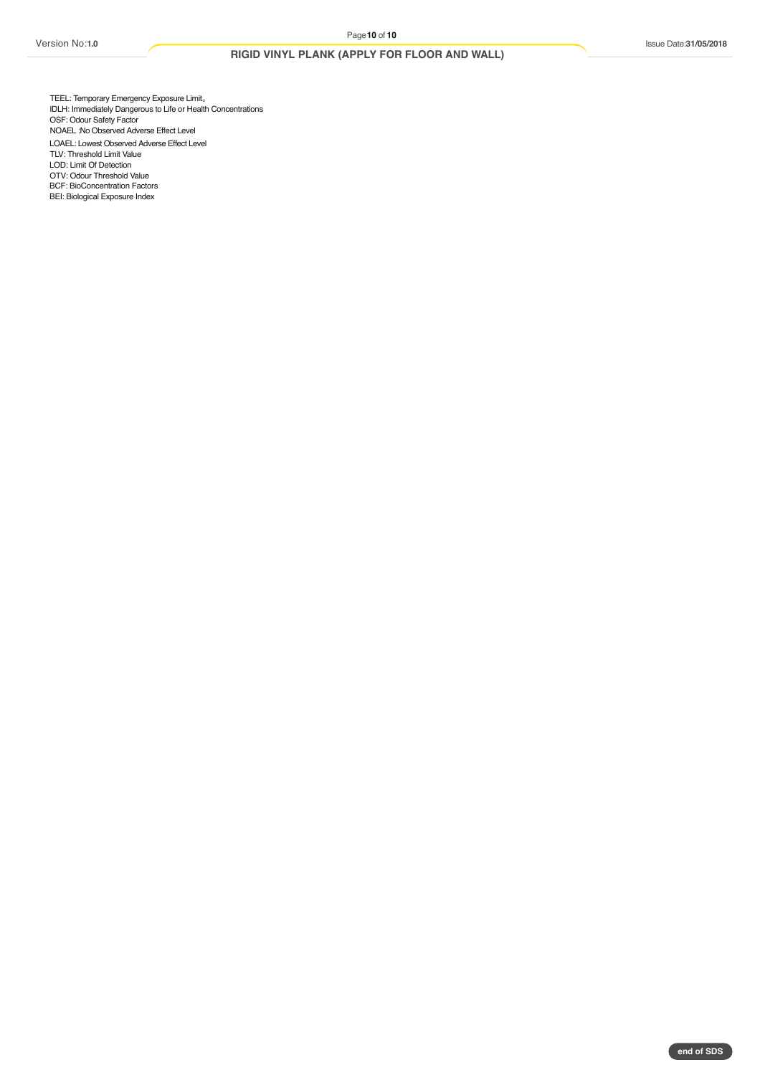BEI: Biological Exposure Index

# **RIGID VINYL PLANK (APPLY FOR FLOOR AND WALL)**

LOAEL: Lowest Observed Adverse Effect Level TLV: Threshold Limit Value LOD: Limit Of Detection OTV: Odour Threshold Value BCF: BioConcentration Factors TEEL: Temporary Emergency Exposure Limit<sub>o</sub> IDLH: Immediately Dangerous to Life or Health Concentrations OSF: Odour Safety Factor NOAEL :No Observed Adverse Effect Level